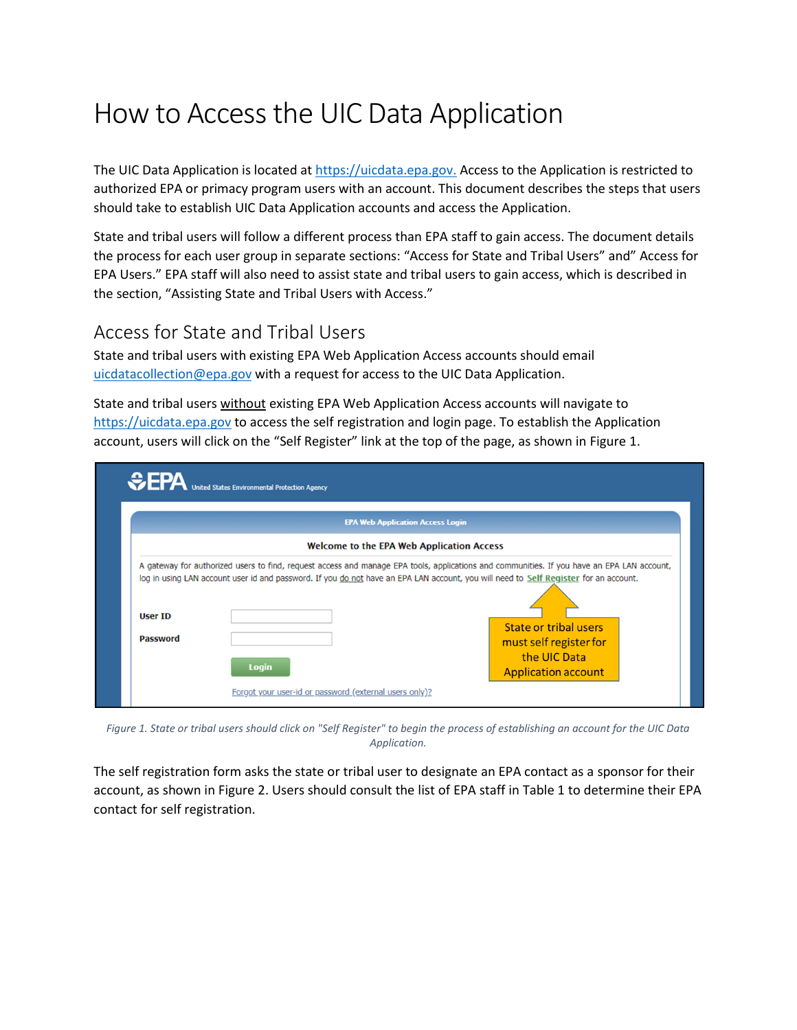# How to Access the UIC Data Application

The UIC Data Application is located at https://uicdata.epa.gov. Access to the Application is restricted to authorized EPA or primacy program users with an account. This document describes the steps that users should take to establish UIC Data Application accounts and access the Application.

State and tribal users will follow a different process than EPA staff to gain access. The document details the process for each user group in separate sections: "Access for State and Tribal Users" and" Access for EPA Users." EPA staff will also need to assist state and tribal users to gain access, which is described in the section, "Assisting State and Tribal Users with Access."

## Access for State and Tribal Users

State and tribal users with existing EPA Web Application Access accounts should email [uicdatacollection@epa.gov](mailto:uicdatacollection@epa.gov) with a request for access to the UIC Data Application.

State and tribal users without existing EPA Web Application Access accounts will navigate to [https://uicdata.epa.gov](https://uicdata.epa.gov/) to access the self registration and login page. To establish the Application account, users will click on the "Self Register" link at the top of the page, as shown in Figure 1.

| <b>EPA Web Application Access Login</b>          |              |                                                                                                                                                                                                                                       |  |  |  |
|--------------------------------------------------|--------------|---------------------------------------------------------------------------------------------------------------------------------------------------------------------------------------------------------------------------------------|--|--|--|
| <b>Welcome to the EPA Web Application Access</b> |              |                                                                                                                                                                                                                                       |  |  |  |
| User ID<br><b>Password</b>                       | <b>Login</b> | log in using LAN account user id and password. If you do not have an EPA LAN account, you will need to Self Register for an account.<br>State or tribal users<br>must self register for<br>the UIC Data<br><b>Application account</b> |  |  |  |

*Figure 1. State or tribal users should click on "Self Register" to begin the process of establishing an account for the UIC Data Application.*

The self registration form asks the state or tribal user to designate an EPA contact as a sponsor for their account, as shown in Figure 2. Users should consult the list of EPA staff in Table 1 to determine their EPA contact for self registration.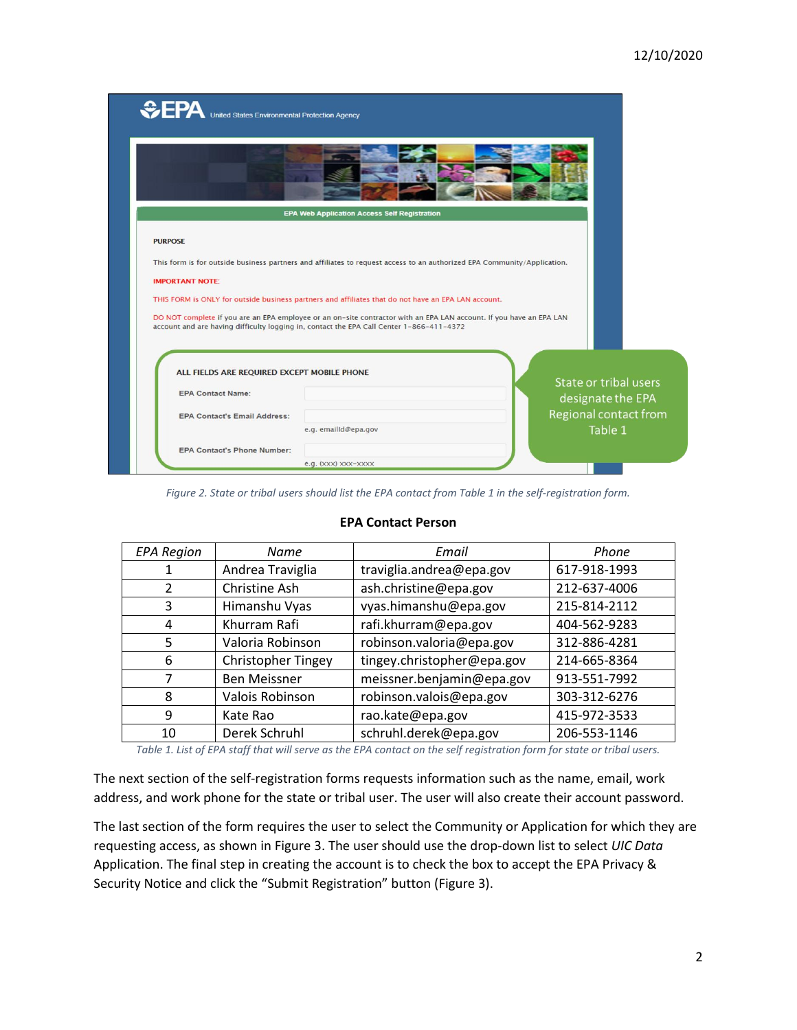| <b>CPA</b> United States Environmental Protection Agency                |                                                                                                                                                                                                                 |                                            |
|-------------------------------------------------------------------------|-----------------------------------------------------------------------------------------------------------------------------------------------------------------------------------------------------------------|--------------------------------------------|
|                                                                         | <b>EPA Web Application Access Self Registration</b>                                                                                                                                                             |                                            |
| <b>PURPOSE</b>                                                          |                                                                                                                                                                                                                 |                                            |
|                                                                         | This form is for outside business partners and affiliates to request access to an authorized EPA Community/Application.                                                                                         |                                            |
| <b>IMPORTANT NOTE:</b>                                                  |                                                                                                                                                                                                                 |                                            |
|                                                                         | THIS FORM is ONLY for outside business partners and affiliates that do not have an EPA LAN account.                                                                                                             |                                            |
|                                                                         | DO NOT complete if you are an EPA employee or an on-site contractor with an EPA LAN account. If you have an EPA LAN<br>account and are having difficulty logging in, contact the EPA Call Center 1-866-411-4372 |                                            |
|                                                                         |                                                                                                                                                                                                                 |                                            |
| ALL FIELDS ARE REQUIRED EXCEPT MOBILE PHONE<br><b>EPA Contact Name:</b> |                                                                                                                                                                                                                 | State or tribal users<br>designate the EPA |
| <b>EPA Contact's Email Address:</b>                                     |                                                                                                                                                                                                                 | Regional contact from                      |
|                                                                         | e.g. emailId@epa.gov                                                                                                                                                                                            | Table 1                                    |
| <b>EPA Contact's Phone Number:</b>                                      |                                                                                                                                                                                                                 |                                            |
|                                                                         | e.g. (xxx) xxx-xxxx                                                                                                                                                                                             |                                            |

*Figure 2. State or tribal users should list the EPA contact from Table 1 in the self-registration form.*

| <b>EPA Region</b> | Name                      | Email                      | Phone        |
|-------------------|---------------------------|----------------------------|--------------|
|                   | Andrea Traviglia          | traviglia.andrea@epa.gov   | 617-918-1993 |
| 2                 | Christine Ash             | ash.christine@epa.gov      | 212-637-4006 |
| 3                 | Himanshu Vyas             | vyas.himanshu@epa.gov      | 215-814-2112 |
| 4                 | Khurram Rafi              | rafi.khurram@epa.gov       | 404-562-9283 |
| 5                 | Valoria Robinson          | robinson.valoria@epa.gov   | 312-886-4281 |
| 6                 | <b>Christopher Tingey</b> | tingey.christopher@epa.gov | 214-665-8364 |
| 7                 | <b>Ben Meissner</b>       | meissner.benjamin@epa.gov  | 913-551-7992 |
| 8                 | Valois Robinson           | robinson.valois@epa.gov    | 303-312-6276 |
| 9                 | Kate Rao                  | rao.kate@epa.gov           | 415-972-3533 |
| 10                | Derek Schruhl             | schruhl.derek@epa.gov      | 206-553-1146 |

#### **EPA Contact Person**

*Table 1. List of EPA staff that will serve as the EPA contact on the self registration form for state or tribal users.*

The next section of the self-registration forms requests information such as the name, email, work address, and work phone for the state or tribal user. The user will also create their account password.

The last section of the form requires the user to select the Community or Application for which they are requesting access, as shown in Figure 3. The user should use the drop-down list to select *UIC Data*  Application. The final step in creating the account is to check the box to accept the EPA Privacy & Security Notice and click the "Submit Registration" button (Figure 3).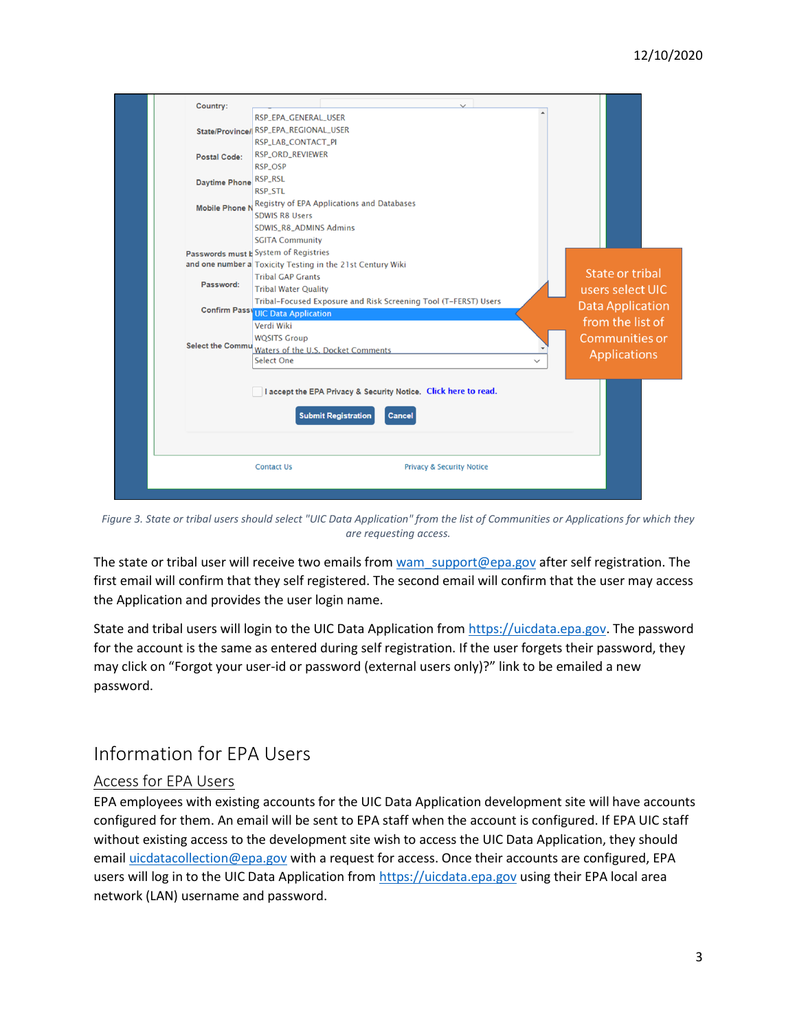| Country:              |                                                                 |                         |
|-----------------------|-----------------------------------------------------------------|-------------------------|
|                       | RSP_EPA_GENERAL_USER                                            |                         |
|                       | State/Province/ RSP_EPA_REGIONAL_USER                           |                         |
|                       | RSP_LAB_CONTACT_PI                                              |                         |
| Postal Code:          | <b>RSP_ORD_REVIEWER</b>                                         |                         |
|                       | <b>RSP_OSP</b>                                                  |                         |
| <b>Daytime Phone</b>  | RSP_RSL                                                         |                         |
|                       | <b>RSP STL</b>                                                  |                         |
| <b>Mobile Phone N</b> | <b>Registry of EPA Applications and Databases</b>               |                         |
|                       | <b>SDWIS R8 Users</b>                                           |                         |
|                       | <b>SDWIS_R8_ADMINS Admins</b>                                   |                         |
|                       | <b>SGITA Community</b>                                          |                         |
|                       | Passwords must b System of Registries                           |                         |
|                       | and one number a Toxicity Testing in the 21st Century Wiki      |                         |
|                       | <b>Tribal GAP Grants</b>                                        | State or tribal         |
| Password:             | <b>Tribal Water Quality</b>                                     | users select UIC        |
|                       | Tribal-Focused Exposure and Risk Screening Tool (T-FERST) Users | <b>Data Application</b> |
|                       | <b>Confirm Pass UIC Data Application</b>                        |                         |
|                       | Verdi Wiki                                                      | from the list of        |
|                       | <b>WQSITS Group</b>                                             | <b>Communities or</b>   |
|                       | Select the Commu Waters of the U.S. Docket Comments             | <b>Applications</b>     |
|                       | Select One                                                      |                         |
|                       |                                                                 |                         |
|                       | I accept the EPA Privacy & Security Notice. Click here to read. |                         |
|                       |                                                                 |                         |
|                       | <b>Submit Registration</b><br><b>Cancel</b>                     |                         |
|                       |                                                                 |                         |
|                       |                                                                 |                         |
|                       |                                                                 |                         |
|                       | <b>Contact Us</b><br><b>Privacy &amp; Security Notice</b>       |                         |
|                       |                                                                 |                         |
|                       |                                                                 |                         |

*Figure 3. State or tribal users should select "UIC Data Application" from the list of Communities or Applications for which they are requesting access.*

The state or tribal user will receive two emails from wam support@epa.gov after self registration. The first email will confirm that they self registered. The second email will confirm that the user may access the Application and provides the user login name.

State and tribal users will login to the UIC Data Application from [https://uicdata.epa.gov.](https://uicdata.epa.gov/) The password for the account is the same as entered during self registration. If the user forgets their password, they may click on "Forgot your user-id or password (external users only)?" link to be emailed a new password.

# Information for EPA Users

### Access for EPA Users

EPA employees with existing accounts for the UIC Data Application development site will have accounts configured for them. An email will be sent to EPA staff when the account is configured. If EPA UIC staff without existing access to the development site wish to access the UIC Data Application, they should email [uicdatacollection@epa.gov](mailto:uicdatacollection@epa.gov) with a request for access. Once their accounts are configured, EPA users will log in to the UIC Data Application from [https://uicdata.epa.gov](https://uicdata.epa.gov/) using their EPA local area network (LAN) username and password.